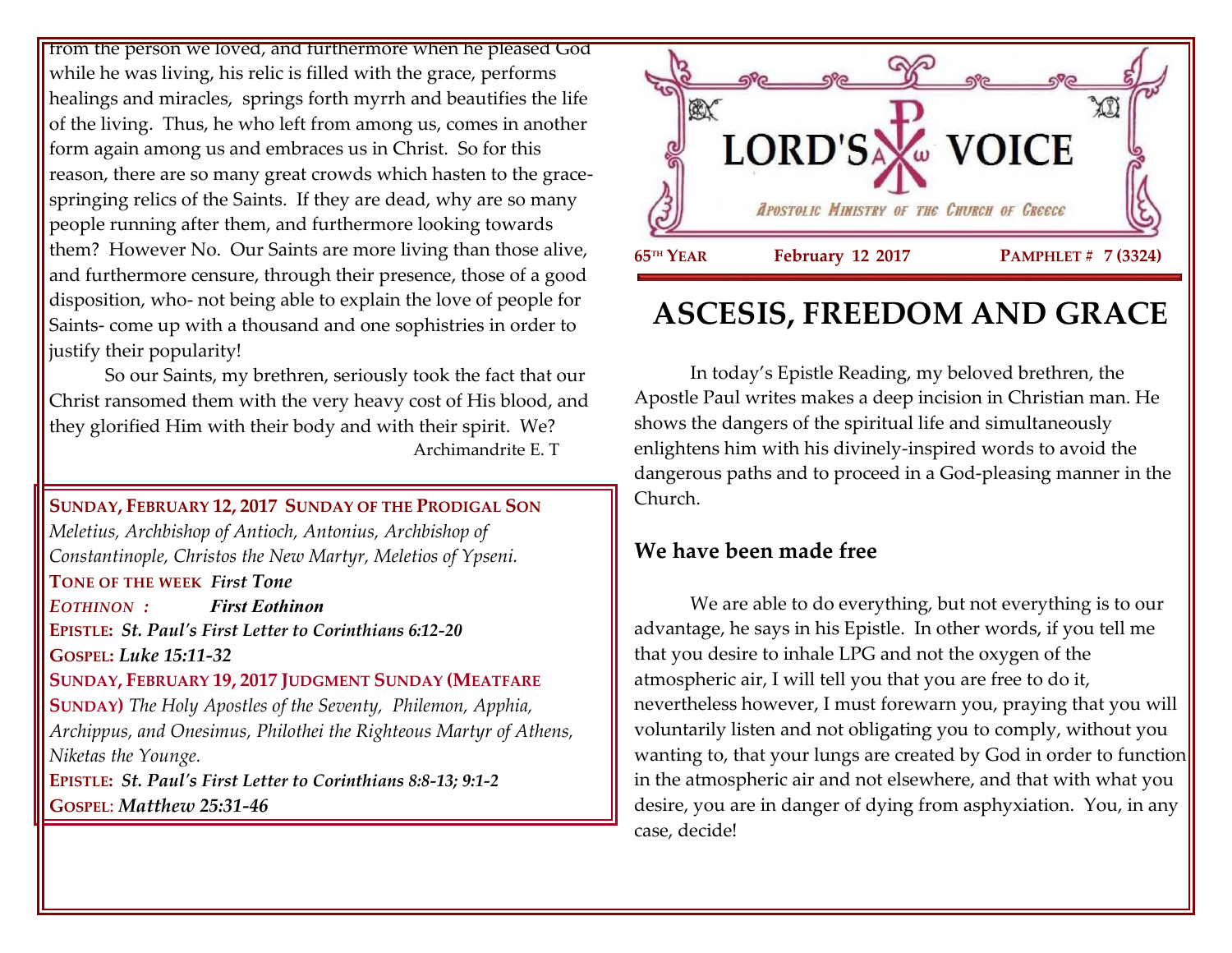from the person we loved, and furthermore when he pleased God while he was living, his relic is filled with the grace, performs healings and miracles, springs forth myrrh and beautifies the life of the living. Thus, he who left from among us, comes in another form again among us and embraces us in Christ. So for this reason, there are so many great crowds which hasten to the gracespringing relics of the Saints. If they are dead, why are so many people running after them, and furthermore looking towards them? However No. Our Saints are more living than those alive, and furthermore censure, through their presence, those of a good disposition, who- not being able to explain the love of people for Saints- come up with a thousand and one sophistries in order to justify their popularity!

So our Saints, my brethren, seriously took the fact that our Christ ransomed them with the very heavy cost of His blood, and they glorified Him with their body and with their spirit. We? Archimandrite E. T

**SUNDAY, FEBRUARY 12, 2017 SUNDAY OF THE PRODIGAL SON** *Meletius, Archbishop of Antioch, Antonius, Archbishop of Constantinople, Christos the New Martyr, Meletios of Ypseni.* **TONE OF THE WEEK** *First Tone EOTHINON : First Eothinon* **EPISTLE:** *St. Paul's First Letter to Corinthians 6:12-20* **GOSPEL:** *Luke 15:11-32* **SUNDAY, FEBRUARY 19, 2017 JUDGMENT SUNDAY (MEATFARE SUNDAY)** *The Holy Apostles of the Seventy, Philemon, Apphia, Archippus, and Onesimus, Philothei the Righteous Martyr of Athens, Niketas the Younge.* **EPISTLE:** *St. Paul's First Letter to Corinthians 8:8-13; 9:1-2* **GOSPEL**: *Matthew 25:31-46*



# **ASCESIS, FREEDOM AND GRACE**

In today's Epistle Reading, my beloved brethren, the Apostle Paul writes makes a deep incision in Christian man. He shows the dangers of the spiritual life and simultaneously enlightens him with his divinely-inspired words to avoid the dangerous paths and to proceed in a God-pleasing manner in the Church.

## **We have been made free**

We are able to do everything, but not everything is to our advantage, he says in his Epistle. In other words, if you tell me that you desire to inhale LPG and not the oxygen of the atmospheric air, I will tell you that you are free to do it, nevertheless however, I must forewarn you, praying that you will voluntarily listen and not obligating you to comply, without you wanting to, that your lungs are created by God in order to function in the atmospheric air and not elsewhere, and that with what you desire, you are in danger of dying from asphyxiation. You, in any case, decide!